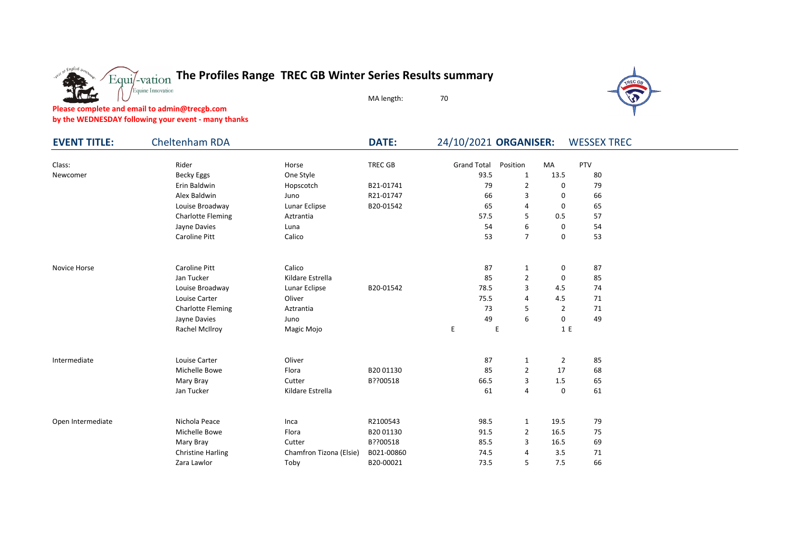

**Please complete and email to admin@trecgb.com**

enalish

**by the WEDNESDAY following your event - many thanks**

Equine Innovation

| <b>EVENT TITLE:</b> | Cheltenham RDA           |                         | <b>DATE:</b> | 24/10/2021 ORGANISER: |                |                | <b>WESSEX TREC</b> |  |
|---------------------|--------------------------|-------------------------|--------------|-----------------------|----------------|----------------|--------------------|--|
| Class:              | Rider                    | Horse                   | TREC GB      | <b>Grand Total</b>    | Position       | MA             | PTV                |  |
| Newcomer            | <b>Becky Eggs</b>        | One Style               |              | 93.5                  | 1              | 13.5           | 80                 |  |
|                     | Erin Baldwin             | Hopscotch               | B21-01741    | 79                    | $\overline{2}$ | 0              | 79                 |  |
|                     | Alex Baldwin             | Juno                    | R21-01747    | 66                    | 3              | 0              | 66                 |  |
|                     | Louise Broadway          | Lunar Eclipse           | B20-01542    | 65                    | 4              | 0              | 65                 |  |
|                     | <b>Charlotte Fleming</b> | Aztrantia               |              | 57.5                  | 5              | 0.5            | 57                 |  |
|                     | Jayne Davies             | Luna                    |              | 54                    | 6              | 0              | 54                 |  |
|                     | Caroline Pitt            | Calico                  |              | 53                    | $\overline{7}$ | 0              | 53                 |  |
| Novice Horse        | Caroline Pitt            | Calico                  |              | 87                    | $\mathbf{1}$   | 0              | 87                 |  |
|                     | Jan Tucker               | Kildare Estrella        |              | 85                    | $\overline{2}$ | 0              | 85                 |  |
|                     | Louise Broadway          | Lunar Eclipse           | B20-01542    | 78.5                  | 3              | 4.5            | 74                 |  |
|                     | Louise Carter            | Oliver                  |              | 75.5                  | 4              | 4.5            | 71                 |  |
|                     | <b>Charlotte Fleming</b> | Aztrantia               |              | 73                    | 5              | 2              | 71                 |  |
|                     | Jayne Davies             | Juno                    |              | 49                    | 6              | 0              | 49                 |  |
|                     | Rachel McIlroy           | Magic Mojo              |              | E.                    | E              | 1 E            |                    |  |
| Intermediate        | Louise Carter            | Oliver                  |              | 87                    | 1              | $\overline{2}$ | 85                 |  |
|                     | Michelle Bowe            | Flora                   | B2001130     | 85                    | 2              | 17             | 68                 |  |
|                     | Mary Bray                | Cutter                  | B??00518     | 66.5                  | 3              | 1.5            | 65                 |  |
|                     | Jan Tucker               | Kildare Estrella        |              | 61                    | 4              | 0              | 61                 |  |
| Open Intermediate   | Nichola Peace            | Inca                    | R2100543     | 98.5                  | $\mathbf{1}$   | 19.5           | 79                 |  |
|                     | Michelle Bowe            | Flora                   | B20 01130    | 91.5                  | $\overline{2}$ | 16.5           | 75                 |  |
|                     | Mary Bray                | Cutter                  | B??00518     | 85.5                  | 3              | 16.5           | 69                 |  |
|                     | <b>Christine Harling</b> | Chamfron Tizona (Elsie) | B021-00860   | 74.5                  | 4              | 3.5            | 71                 |  |
|                     | Zara Lawlor              | Toby                    | B20-00021    | 73.5                  | 5              | 7.5            | 66                 |  |

MA length: 70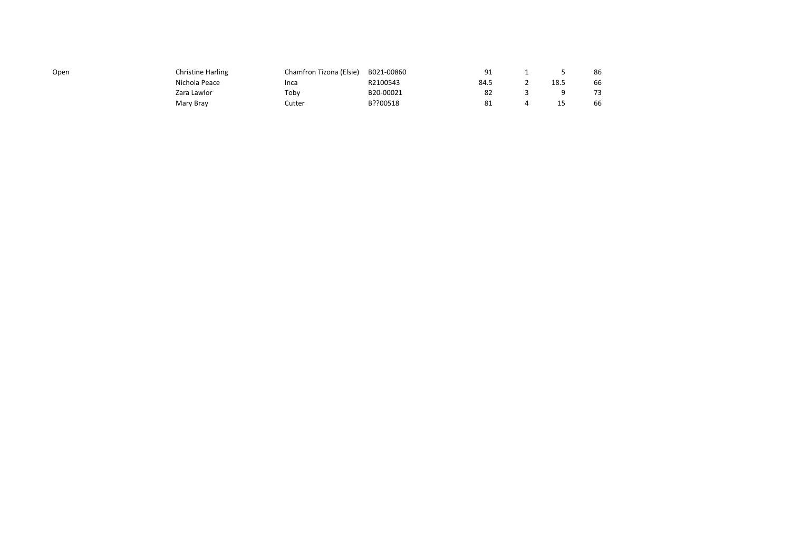| Open | <b>Christine Harling</b> | Chamfron Tizona (Elsie) | B021-00860 |      |      | 86 |
|------|--------------------------|-------------------------|------------|------|------|----|
|      | Nichola Peace            | Inca                    | R2100543   | 84.5 | 18.5 | 66 |
|      | Zara Lawlor              | Toby                    | B20-00021  | 82   |      | 73 |
|      | Mary Bray                | Cutter                  | B??00518   | -81  |      | 66 |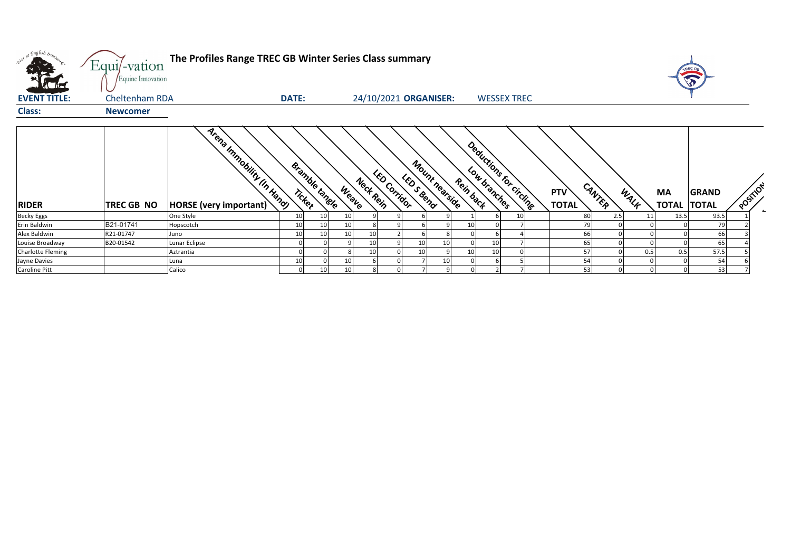| what so English bonz     | Equi/-vation<br>Equine Innovation | The Profiles Range TREC GB Winter Series Class summary |              |                       |                 |           |                       |            |                |           |                         |    |                            |        |      |                    | TREC G                       |          |  |
|--------------------------|-----------------------------------|--------------------------------------------------------|--------------|-----------------------|-----------------|-----------|-----------------------|------------|----------------|-----------|-------------------------|----|----------------------------|--------|------|--------------------|------------------------------|----------|--|
| <b>EVENT TITLE:</b>      | Cheltenham RDA                    |                                                        | <b>DATE:</b> |                       |                 |           | 24/10/2021 ORGANISER: |            |                |           | <b>WESSEX TREC</b>      |    |                            |        |      |                    |                              |          |  |
| <b>Class:</b>            | <b>Newcomer</b>                   |                                                        |              |                       |                 |           |                       |            |                |           |                         |    |                            |        |      |                    |                              |          |  |
| <b>RIDER</b>             | TREC GB NO                        | Arena Immobility In Kang<br>HORSE (very important)     | Ticker       | <b>Bramble tanele</b> | Weave           | Neck Rein | <b>LED Corridor</b>   | LED S Bend | Mount nearside | Rein back | Deductions for circling |    | <b>PTV</b><br><b>TOTAL</b> | CANTER | WALF | MA<br><b>TOTAL</b> | <b>GRAND</b><br><b>TOTAL</b> | POSITION |  |
| <b>Becky Eggs</b>        |                                   | One Style                                              | 10           | 10                    | 10 <sup>1</sup> |           |                       |            |                |           |                         | 10 | 80                         | 2.5    | 11   | 13.5               | 93.5                         |          |  |
| Erin Baldwin             | B21-01741                         | Hopscotch                                              | 10           | 10                    | 10 <sup>1</sup> |           |                       |            |                | 10        |                         |    | 79                         |        |      |                    | 79                           |          |  |
| Alex Baldwin             | R21-01747                         | Juno                                                   | 10           | 10                    | 10 <sup>1</sup> | 10        |                       |            |                |           |                         |    | 66                         |        |      |                    | 66                           |          |  |
| Louise Broadway          | B20-01542                         | Lunar Eclipse                                          |              |                       |                 | 10        |                       |            | 10             |           | 10                      |    | 65                         |        |      |                    | 65                           |          |  |
| <b>Charlotte Fleming</b> |                                   | Aztrantia                                              |              |                       |                 | 10        |                       |            |                | 10        | 10                      |    | 57                         |        | 0.5  | 0.5                | 57.5                         |          |  |
| Jayne Davies             |                                   | Luna                                                   |              |                       | 10              |           |                       |            | 10             |           |                         |    | 54                         |        |      |                    | 54                           |          |  |
| Caroline Pitt            |                                   | Calico                                                 |              | 10                    | 10              |           |                       |            |                |           |                         |    | 53                         |        |      |                    | 53                           |          |  |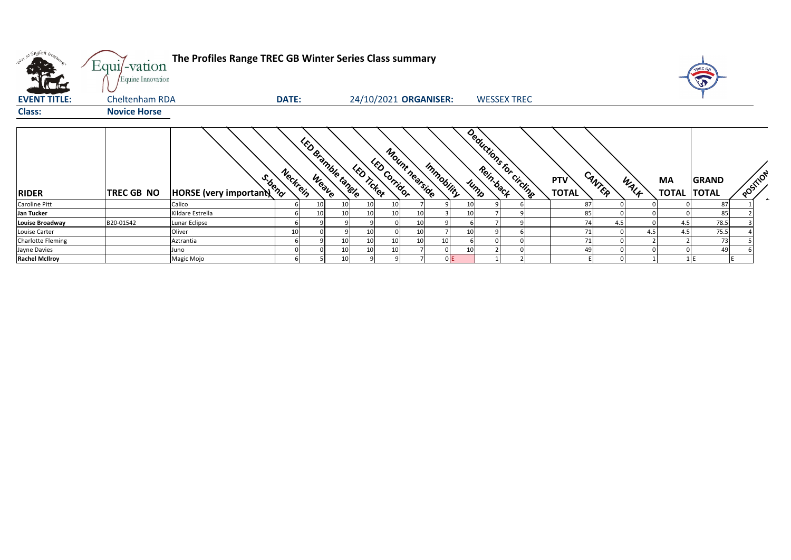| v <sup>i 50</sup> English iron. | Equi/-vation<br>Equine Innovation | The Profiles Range TREC GB Winter Series Class summary |              |                         |                 |                                          |    |                |            |                         |                    |                            |        |     |      |                          | TREC GA      |          |
|---------------------------------|-----------------------------------|--------------------------------------------------------|--------------|-------------------------|-----------------|------------------------------------------|----|----------------|------------|-------------------------|--------------------|----------------------------|--------|-----|------|--------------------------|--------------|----------|
| <b>EVENT TITLE:</b>             | Cheltenham RDA                    |                                                        | <b>DATE:</b> |                         |                 | 24/10/2021 ORGANISER:                    |    |                |            |                         | <b>WESSEX TREC</b> |                            |        |     |      |                          |              |          |
| <b>Class:</b>                   | <b>Novice Horse</b>               |                                                        |              |                         |                 |                                          |    |                |            |                         |                    |                            |        |     |      |                          |              |          |
| <b>RIDER</b>                    | TREC GB NO                        | S.bend<br>HORSE (very important)                       | Neckrein     | <b>Undianide tangle</b> |                 | <b>LED Corridor</b><br><b>LED Ticket</b> |    | Mount nearside | Immobility | Deductions for circuits |                    | <b>PTV</b><br><b>TOTAL</b> | CANTER |     | WALF | MA<br><b>TOTAL TOTAL</b> | <b>GRAND</b> | POSTILON |
| Caroline Pitt                   |                                   | Calico                                                 |              | 10                      | 10              | 10                                       | 10 |                |            |                         |                    |                            | 87     |     |      |                          | 87           |          |
| Jan Tucker                      |                                   | Kildare Estrella                                       |              | 10                      | 10              | 10                                       | 10 |                |            |                         |                    |                            | 8      |     |      |                          | 85           |          |
| <b>Louise Broadway</b>          | B20-01542                         | Lunar Eclipse                                          |              |                         |                 |                                          |    |                |            |                         |                    |                            |        | 4.5 |      | 4.5                      | 78.5         |          |
| Louise Carter                   |                                   | Oliver                                                 | 10           |                         |                 | 10                                       |    |                |            |                         |                    |                            | 71     |     | 4.5  | 4.5                      | 75.5         |          |
| <b>Charlotte Fleming</b>        |                                   | Aztrantia                                              |              |                         | 10              | 10                                       | 10 | 10             | 10         |                         |                    |                            | 71     |     |      |                          | 73           |          |
| Jayne Davies                    |                                   | Juno                                                   |              |                         | 10 <sub>1</sub> | 10                                       | 10 |                |            |                         |                    |                            |        |     |      |                          | 49           |          |
| <b>Rachel McIlroy</b>           |                                   | Magic Mojo                                             |              |                         | 10              |                                          |    |                |            |                         |                    |                            |        |     |      |                          |              |          |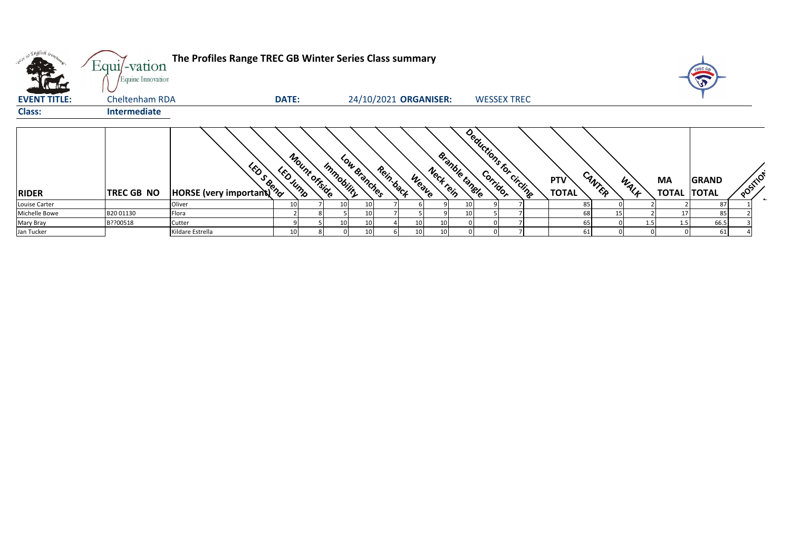| <b>K</b> Act        | Equi/-vation<br>Equine Innovation | The Profiles Range TREC GB Winter Series Class summary |              |               |            |                           |                 |           |                       |                         |                            |          |      |                          | TREC GR      |          |
|---------------------|-----------------------------------|--------------------------------------------------------|--------------|---------------|------------|---------------------------|-----------------|-----------|-----------------------|-------------------------|----------------------------|----------|------|--------------------------|--------------|----------|
| <b>EVENT TITLE:</b> | Cheltenham RDA                    |                                                        | <b>DATE:</b> |               |            | 24/10/2021 ORGANISER:     |                 |           |                       | <b>WESSEX TREC</b>      |                            |          |      |                          |              |          |
| <b>Class:</b>       | Intermediate                      |                                                        |              |               |            |                           |                 |           |                       |                         |                            |          |      |                          |              |          |
| <b>RIDER</b>        | TREC GB NO                        | <b>Example 1999</b>                                    | LED Jump     | Mount offside | Immobility | Low Branches<br>Rein-back | Weave           | Neck rein | <b>Branble tangle</b> | Deductions for circuits | <b>PTV</b><br><b>TOTAL</b> | CANTER   | WALK | MA<br><b>TOTAL TOTAL</b> | <b>GRAND</b> | POSITICY |
| Louise Carter       |                                   | Oliver                                                 | 10           |               | 10         | 10                        |                 |           | 10 <sub>l</sub>       |                         |                            | 85       |      |                          | 87           |          |
| Michelle Bowe       | B2001130                          | Flora                                                  |              |               |            | 10                        |                 |           | 10 <sup>1</sup>       |                         |                            | 68<br>15 |      |                          | 85           |          |
| Mary Bray           | B??00518                          | Cutter                                                 |              |               | 10         | 10                        | 10              | 10        |                       |                         |                            | 65       |      | 1.5                      | 66.5         |          |
| Jan Tucker          |                                   | Kildare Estrella                                       |              |               |            | 10                        | 10 <sup>1</sup> | 10        |                       |                         |                            | 61       |      |                          | 61           |          |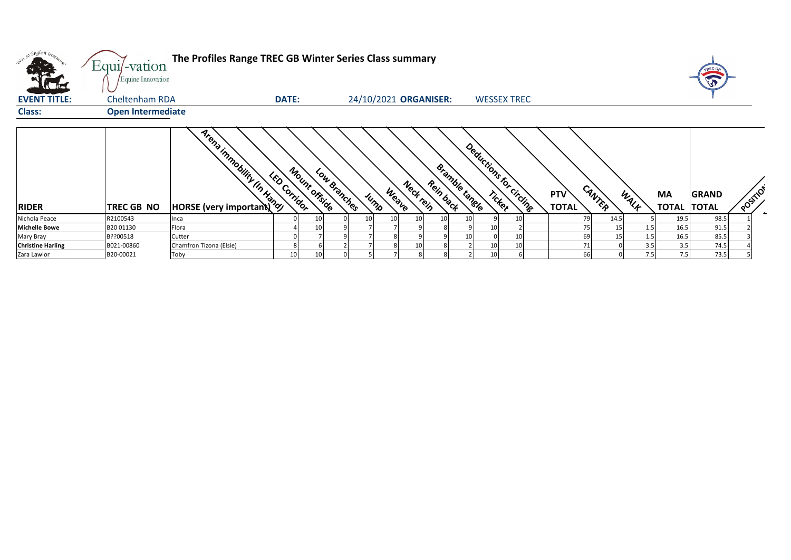| with so English trong    | Equi/-vation<br>Equine Innovation | The Profiles Range TREC GB Winter Series Class summary |                     |                      |              |                            |                                    |                         |                     |        |      |                           | TREC GA                      |          |  |
|--------------------------|-----------------------------------|--------------------------------------------------------|---------------------|----------------------|--------------|----------------------------|------------------------------------|-------------------------|---------------------|--------|------|---------------------------|------------------------------|----------|--|
| <b>EVENT TITLE:</b>      | Cheltenham RDA                    |                                                        | <b>DATE:</b>        |                      |              | 24/10/2021 ORGANISER:      |                                    | <b>WESSEX TREC</b>      |                     |        |      |                           |                              |          |  |
| <b>Class:</b>            | <b>Open Intermediate</b>          |                                                        |                     |                      |              |                            |                                    |                         |                     |        |      |                           |                              |          |  |
| <b>RIDER</b>             | TREC GB NO                        | <b>Arena Important (R)</b>                             | <b>LED Corridor</b> | <b>Mount offside</b> | Low Branches | Neck rein<br>Weave<br>Jump | <b>Bramble tanele</b><br>Rein back | Deductions for circling | PTV<br><b>TOTAL</b> | CANTER | WALF | <b>MA</b><br><b>TOTAL</b> | <b>GRAND</b><br><b>TOTAL</b> | POSITION |  |
| Nichola Peace            | R2100543                          | Inca                                                   |                     |                      |              |                            |                                    | 10 <sup>1</sup>         | 79                  | 14.5   |      | 19.5                      | 98.5                         |          |  |
| <b>Michelle Bowe</b>     | B20 01130                         | Flora                                                  |                     |                      |              |                            |                                    | 10                      |                     | 15     | 1.5  | 16.5                      | 91.5                         |          |  |
| Mary Bray                | B??00518                          | Cutter                                                 |                     |                      |              |                            |                                    | 10                      | 69                  | 15     | 1.5  | 16.5                      | 85.5                         |          |  |
| <b>Christine Harling</b> | B021-00860                        | Chamfron Tizona (Elsie)                                |                     |                      |              |                            |                                    | 10<br>10                |                     |        | 3.5  | 3.5                       | 74.5                         |          |  |
| Zara Lawlor              | B20-00021                         | Toby                                                   | 10                  |                      |              |                            |                                    | $\epsilon$<br>10        | 6f                  |        | 7.5  | 7.5                       | 73.5                         |          |  |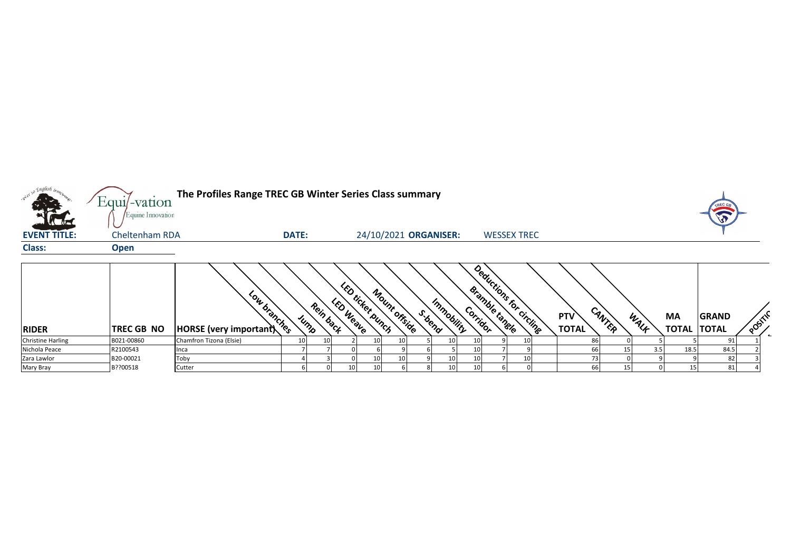

| <b>RIDER</b>             | <b>TREC GB NO</b> | <b>SON</b><br>$\mathbf{o}_{\mathbf{A}}$<br>$\mathcal{D}_{\mathcal{D}_{\mathcal{C},\mathcal{C}}}$<br>$ HORSE$ (very important) | $\infty$ | neis<br>UMPS | $\mathbf{z}$<br>$o_{\!\scriptscriptstyle \!\otimes_{\rm C_{\rm Z}}}$ | Ъ<br><b>LCKCX</b><br>D,<br>Teatra | <b>OUTA</b><br>Unch | orside | Oence | Immobility<br>$\mathcal{O}_{\mathcal{A}}$ | Jramble<br>"idor | <b>PORT</b><br>$\mathcal{O}_{\mathbf{A}}$<br><sup>rangle</sup> | circling | ~<br><b>PTV</b><br><b>TOTAL</b> | $\mathcal{A}_{\Lambda}$<br><b>AN</b> | <b>MALE</b> | <b>MA</b><br><b>TOTAL</b> | <b>GRAND</b><br><b>TOTAL</b> | ∼ |  |
|--------------------------|-------------------|-------------------------------------------------------------------------------------------------------------------------------|----------|--------------|----------------------------------------------------------------------|-----------------------------------|---------------------|--------|-------|-------------------------------------------|------------------|----------------------------------------------------------------|----------|---------------------------------|--------------------------------------|-------------|---------------------------|------------------------------|---|--|
| <b>Christine Harling</b> | B021-00860        | Chamfron Tizona (Elsie)                                                                                                       |          |              |                                                                      |                                   |                     |        |       | 10                                        |                  |                                                                |          |                                 |                                      |             |                           |                              |   |  |
| Nichola Peace            | R2100543          | <b>I</b> nca                                                                                                                  |          |              |                                                                      |                                   |                     |        |       |                                           |                  |                                                                |          |                                 |                                      |             | 18.5                      | 84.5                         |   |  |
| Zara Lawlor              | B20-00021         | Toby                                                                                                                          |          |              |                                                                      |                                   |                     |        |       | 10 <sub>1</sub><br>10                     |                  |                                                                |          |                                 |                                      |             |                           |                              |   |  |
| <b>Mary Bray</b>         | B??00518          | Cutter                                                                                                                        |          |              |                                                                      |                                   |                     |        |       | 10                                        |                  |                                                                |          |                                 |                                      |             |                           |                              |   |  |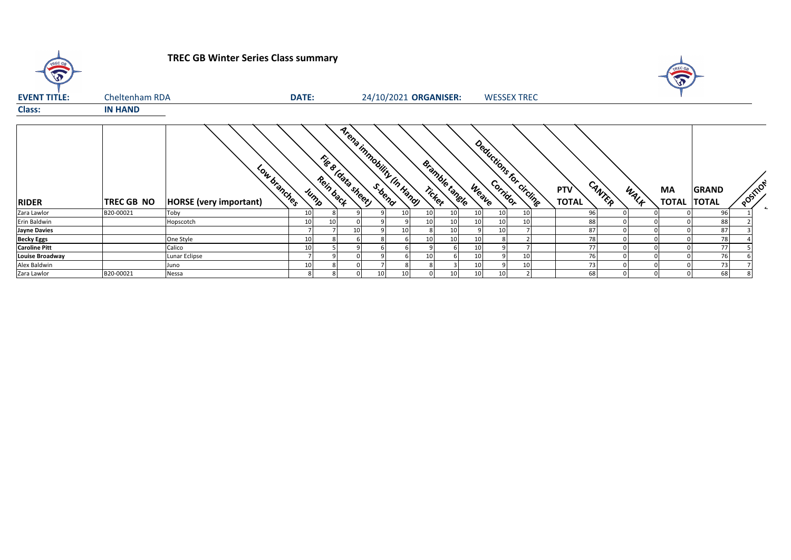| TREC GB                |                | <b>TREC GB Winter Series Class summary</b>    |              |           |                    |    |                           |                       |                                  |                       |                     |              |             | TREC GB                  |              |                                  |
|------------------------|----------------|-----------------------------------------------|--------------|-----------|--------------------|----|---------------------------|-----------------------|----------------------------------|-----------------------|---------------------|--------------|-------------|--------------------------|--------------|----------------------------------|
| <b>EVENT TITLE:</b>    | Cheltenham RDA |                                               | <b>DATE:</b> |           |                    |    | 24/10/2021 ORGANISER:     |                       |                                  | <b>WESSEX TREC</b>    |                     |              |             |                          |              |                                  |
| <b>Class:</b>          | <b>IN HAND</b> |                                               |              |           |                    |    |                           |                       |                                  |                       |                     |              |             |                          |              |                                  |
| <b>RIDER</b>           | TREC GB NO     | Low branches<br><b>HORSE</b> (very important) | Jump         | Rein back | Fig & [data sheet] |    | Arena inmobility IIn Hang | <b>Bramble tangle</b> | Deductions for circuite<br>Weave |                       | PTV<br><b>TOTAL</b> | CANTER       | WALK        | MA<br><b>TOTAL TOTAL</b> | <b>GRAND</b> | POSTILON<br>$\boldsymbol{\star}$ |
| Zara Lawlor            | B20-00021      | Toby                                          | 10           |           |                    |    | 10                        | 10<br>10              | 10 <sup>1</sup>                  | 10 <sup>1</sup><br>10 | 96                  |              |             |                          | 96           |                                  |
| Erin Baldwin           |                | Hopscotch                                     | 10           | 10        |                    |    |                           | 10<br>10              | 10 <sup>1</sup>                  | 10<br>10              | 88                  |              |             |                          | 88           |                                  |
| <b>Jayne Davies</b>    |                |                                               |              |           | 10                 |    | 10                        |                       |                                  | 10                    | 87                  |              |             |                          | 87           |                                  |
| <b>Becky Eggs</b>      |                | One Style                                     | 10           |           |                    |    |                           | 10                    | 10                               |                       | 78                  |              |             |                          | 78           |                                  |
| <b>Caroline Pitt</b>   |                | Calico                                        | 10           |           |                    |    |                           |                       | 10                               | q                     | 77                  |              |             |                          | 77           |                                  |
| <b>Louise Broadway</b> |                | Lunar Eclipse                                 |              |           |                    |    |                           | 10                    | 10                               | 10                    | 76                  |              |             |                          | 76           |                                  |
| Alex Baldwin           |                | Juno                                          | 10           |           |                    |    |                           |                       | 10                               | q<br>10               | 73                  |              |             |                          | 73           |                                  |
| Zara Lawlor            | B20-00021      | Nessa                                         |              | 8         | 0                  | 10 | 10                        | 10                    | 10 <sup>1</sup>                  | 10 <sup>1</sup>       | 68                  | $\mathbf{0}$ | $\mathbf 0$ |                          | 68           |                                  |